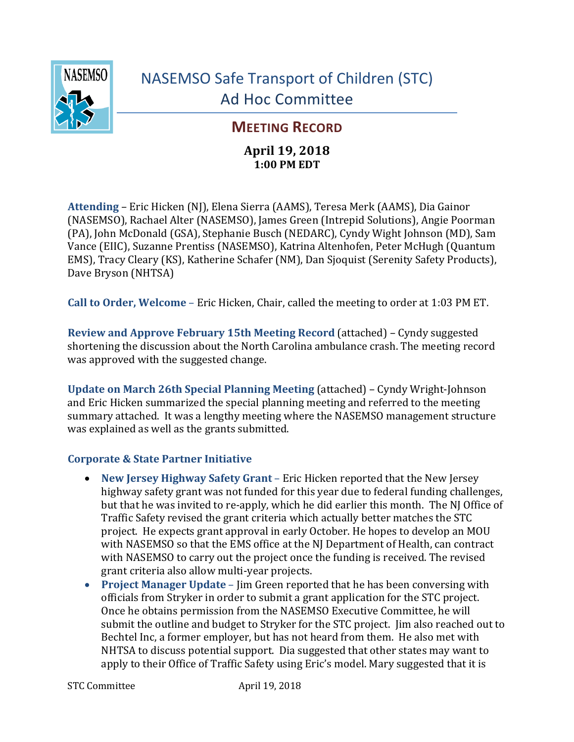

## **MEETING RECORD**

## **April 19, 2018 1:00 PM EDT**

Attending – Eric Hicken (NJ), Elena Sierra (AAMS), Teresa Merk (AAMS), Dia Gainor (NASEMSO), Rachael Alter (NASEMSO), James Green (Intrepid Solutions), Angie Poorman (PA), John McDonald (GSA), Stephanie Busch (NEDARC), Cyndy Wight Johnson (MD), Sam Vance (EIIC), Suzanne Prentiss (NASEMSO), Katrina Altenhofen, Peter McHugh (Quantum EMS), Tracy Cleary (KS), Katherine Schafer (NM), Dan Sjoquist (Serenity Safety Products), Dave Bryson (NHTSA)

**Call to Order, Welcome** – Eric Hicken, Chair, called the meeting to order at 1:03 PM ET.

**Review and Approve February 15th Meeting Record (attached) – Cyndy suggested** shortening the discussion about the North Carolina ambulance crash. The meeting record was approved with the suggested change.

**Update on March 26th Special Planning Meeting (attached) – Cyndy Wright-Johnson** and Eric Hicken summarized the special planning meeting and referred to the meeting summary attached. It was a lengthy meeting where the NASEMSO management structure was explained as well as the grants submitted.

## **Corporate & State Partner Initiative**

- New Jersey Highway Safety Grant Eric Hicken reported that the New Jersey highway safety grant was not funded for this year due to federal funding challenges, but that he was invited to re-apply, which he did earlier this month. The NJ Office of Traffic Safety revised the grant criteria which actually better matches the STC project. He expects grant approval in early October. He hopes to develop an MOU with NASEMSO so that the EMS office at the NJ Department of Health, can contract with NASEMSO to carry out the project once the funding is received. The revised grant criteria also allow multi-year projects.
- **Project Manager Update** Jim Green reported that he has been conversing with officials from Stryker in order to submit a grant application for the STC project. Once he obtains permission from the NASEMSO Executive Committee, he will submit the outline and budget to Stryker for the STC project. Iim also reached out to Bechtel Inc, a former employer, but has not heard from them. He also met with NHTSA to discuss potential support. Dia suggested that other states may want to apply to their Office of Traffic Safety using Eric's model. Mary suggested that it is